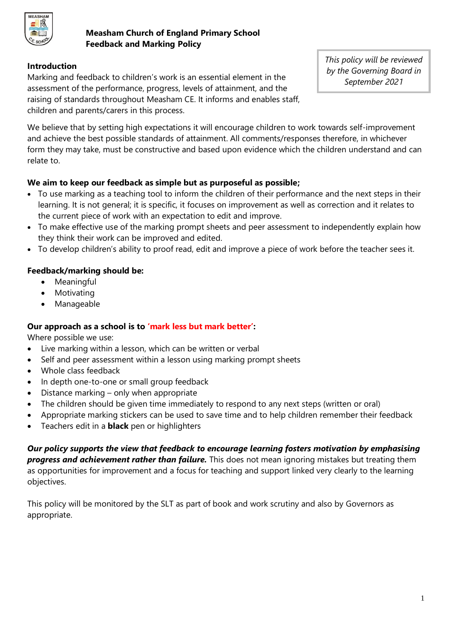

# **Measham Church of England Primary School Feedback and Marking Policy**

# **Introduction**

Marking and feedback to children's work is an essential element in the assessment of the performance, progress, levels of attainment, and the raising of standards throughout Measham CE. It informs and enables staff, children and parents/carers in this process.

*This policy will be reviewed by the Governing Board in September 2021*

We believe that by setting high expectations it will encourage children to work towards self-improvement and achieve the best possible standards of attainment. All comments/responses therefore, in whichever form they may take, must be constructive and based upon evidence which the children understand and can relate to.

## **We aim to keep our feedback as simple but as purposeful as possible;**

- To use marking as a teaching tool to inform the children of their performance and the next steps in their learning. It is not general; it is specific, it focuses on improvement as well as correction and it relates to the current piece of work with an expectation to edit and improve.
- To make effective use of the marking prompt sheets and peer assessment to independently explain how they think their work can be improved and edited.
- To develop children's ability to proof read, edit and improve a piece of work before the teacher sees it.

# **Feedback/marking should be:**

- Meaningful
- Motivating
- Manageable

# **Our approach as a school is to 'mark less but mark better':**

Where possible we use:

- Live marking within a lesson, which can be written or verbal
- Self and peer assessment within a lesson using marking prompt sheets
- Whole class feedback
- In depth one-to-one or small group feedback
- Distance marking only when appropriate
- The children should be given time immediately to respond to any next steps (written or oral)
- Appropriate marking stickers can be used to save time and to help children remember their feedback
- Teachers edit in a **black** pen or highlighters

*Our policy supports the view that feedback to encourage learning fosters motivation by emphasising progress and achievement rather than failure.* This does not mean ignoring mistakes but treating them as opportunities for improvement and a focus for teaching and support linked very clearly to the learning objectives.

This policy will be monitored by the SLT as part of book and work scrutiny and also by Governors as appropriate.